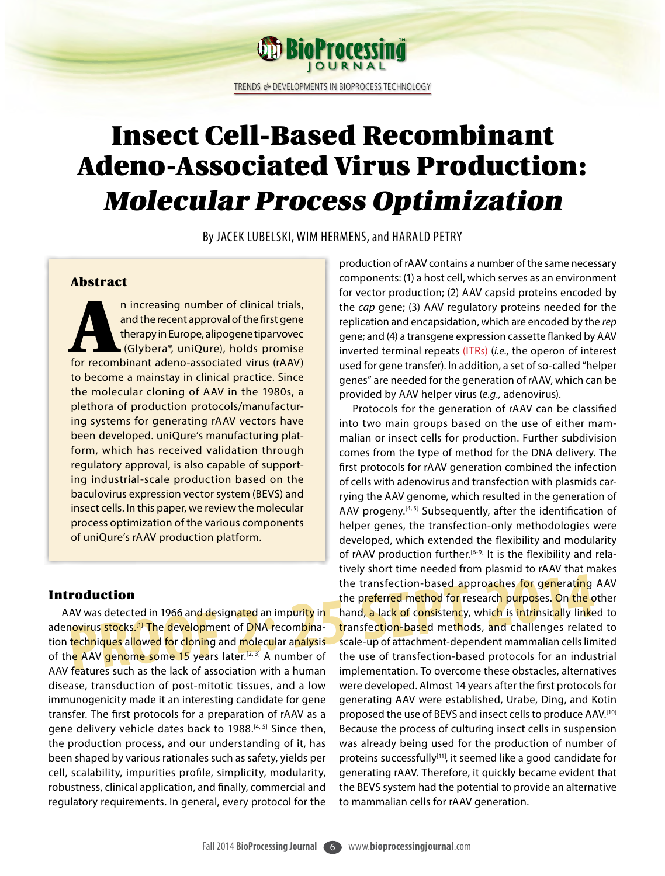TRENDS *&* DEVELOPMENTS IN BIOPROCESS TECHNOLOGY

**OD BioProcessing** 

# Insect Cell-Based Recombinant Adeno-Associated Virus Production: Molecular Process Optimization

By JACEK LUBELSKI, WIM HERMENS, and HARALD PETRY

# Abstract

n increasing number of clinical trials,<br>
and the recent approval of the first gene<br>
therapy in Europe, alipogene tiparvovec<br>
(Glybera®, uniQure), holds promise<br>
for recombinant adeno-associated virus (rAAV) and the recent approval of the first gene therapy in Europe, alipogene tiparvovec (Glybera®, uniQure), holds promise to become a mainstay in clinical practice. Since the molecular cloning of AAV in the 1980s, a plethora of production protocols/manufacturing systems for generating rAAV vectors have been developed. uniQure's manufacturing platform, which has received validation through regulatory approval, is also capable of supporting industrial-scale production based on the baculovirus expression vector system (BEVS) and insect cells. In this paper, we review the molecular process optimization of the various components of uniQure's rAAV production platform.

# Introduction

AAV was detected in 1966 and designated an impurity in adenovirus stocks.<sup>[1]</sup> The development of DNA recombination techniques allowed for cloning and molecular analysis of the AAV genome some 15 years later.<sup>[2, 3]</sup> A number of AAV features such as the lack of association with a human disease, transduction of post-mitotic tissues, and a low immunogenicity made it an interesting candidate for gene transfer. The first protocols for a preparation of rAAV as a gene delivery vehicle dates back to 1988.<sup>[4, 5]</sup> Since then, the production process, and our understanding of it, has been shaped by various rationales such as safety, yields per cell, scalability, impurities profile, simplicity, modularity, robustness, clinical application, and finally, commercial and regulatory requirements. In general, every protocol for the

production of rAAV contains a number of the same necessary components: (1) a host cell, which serves as an environment for vector production; (2) AAV capsid proteins encoded by the *cap* gene; (3) AAV regulatory proteins needed for the replication and encapsidation, which are encoded by the *rep* gene; and (4) a transgene expression cassette flanked by AAV inverted terminal repeats (ITRs) (*i.e.,* the operon of interest used for gene transfer). In addition, a set of so-called "helper genes" are needed for the generation of rAAV, which can be provided by AAV helper virus (*e.g.,* adenovirus).

the transfection-based approaches for generating<br> **PRODUCTION**<br>
AV was detected in 1966 and designated an impurity in **the preferred method for research purposes. On the c**<br>
AV was detected in 1966 and designated an impuri Protocols for the generation of rAAV can be classified into two main groups based on the use of either mammalian or insect cells for production. Further subdivision comes from the type of method for the DNA delivery. The first protocols for rAAV generation combined the infection of cells with adenovirus and transfection with plasmids carrying the AAV genome, which resulted in the generation of AAV progeny.<sup>[4,5]</sup> Subsequently, after the identification of helper genes, the transfection-only methodologies were developed, which extended the flexibility and modularity of rAAV production further.<sup>[6-9]</sup> It is the flexibility and relatively short time needed from plasmid to rAAV that makes the transfection-based approaches for generating AAV the preferred method for research purposes. On the other hand, a lack of consistency, which is intrinsically linked to transfection-based methods, and challenges related to scale-up of attachment-dependent mammalian cells limited the use of transfection-based protocols for an industrial implementation. To overcome these obstacles, alternatives were developed. Almost 14 years after the first protocols for generating AAV were established, Urabe, Ding, and Kotin proposed the use of BEVS and insect cells to produce AAV.[10] Because the process of culturing insect cells in suspension was already being used for the production of number of proteins successfully<sup>[11]</sup>, it seemed like a good candidate for generating rAAV. Therefore, it quickly became evident that the BEVS system had the potential to provide an alternative to mammalian cells for rAAV generation.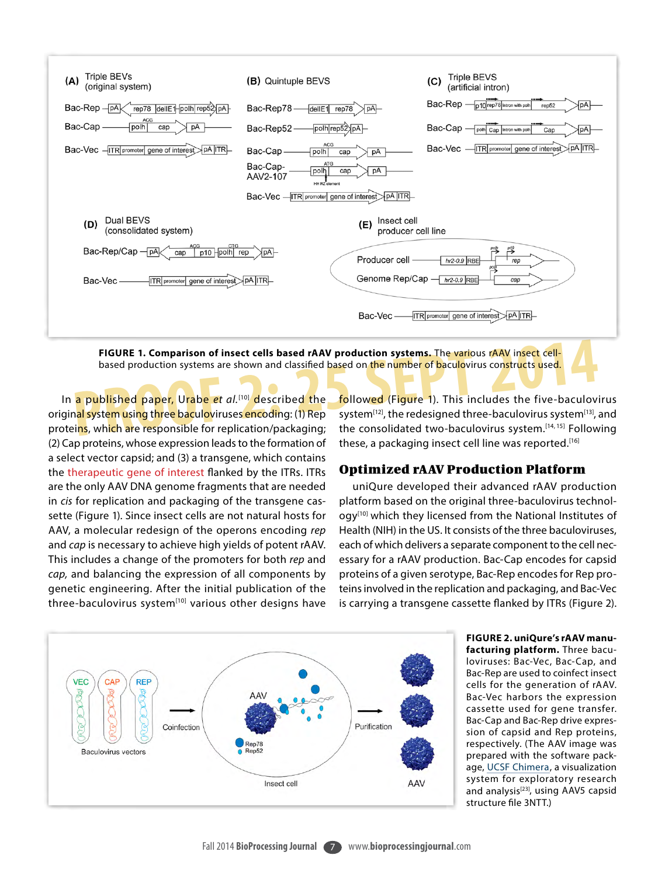

based production systems are shown and classified based on the number of baculovirus constructs used.

In a published paper, Urabe *et al.*[10] described the original system using three baculoviruses encoding: (1) Rep proteins, which are responsible for replication/packaging; (2) Cap proteins, whose expression leads to the formation of a select vector capsid; and (3) a transgene, which contains the therapeutic gene of interest flanked by the ITRs. ITRs are the only AAV DNA genome fragments that are needed in *cis* for replication and packaging of the transgene cassette (Figure 1). Since insect cells are not natural hosts for AAV, a molecular redesign of the operons encoding *rep* and *cap* is necessary to achieve high yields of potent rAAV. This includes a change of the promoters for both *rep* and *cap,* and balancing the expression of all components by genetic engineering. After the initial publication of the three-baculovirus system<sup>[10]</sup> various other designs have

FIGURE 1. Comparison of insect cells based rAAV production systems. The various rAAV insect cell-<br>based production systems are shown and classified based on the number of baculovirus constructs used.<br>a published paper, Ura followed (Figure 1). This includes the five-baculovirus system<sup>[12]</sup>, the redesigned three-baculovirus system<sup>[13]</sup>, and the consolidated two-baculovirus system.[14, 15] Following these, a packaging insect cell line was reported.<sup>[16]</sup>

# Optimized rAAV Production Platform

uniQure developed their advanced rAAV production platform based on the original three-baculovirus technology<sup>[10]</sup> which they licensed from the National Institutes of Health (NIH) in the US. It consists of the three baculoviruses, each of which delivers a separate component to the cell necessary for a rAAV production. Bac-Cap encodes for capsid proteins of a given serotype, Bac-Rep encodes for Rep proteins involved in the replication and packaging, and Bac-Vec is carrying a transgene cassette flanked by ITRs (Figure 2).



**FIGURE 2. uniQure's rAAV manufacturing platform.** Three baculoviruses: Bac-Vec, Bac-Cap, and Bac-Rep are used to coinfect insect cells for the generation of rAAV. Bac-Vec harbors the expression cassette used for gene transfer. Bac-Cap and Bac-Rep drive expression of capsid and Rep proteins, respectively. (The AAV image was prepared with the software package, [UCSF Chimera](http://www.cgl.ucsf.edu/chimera/), a visualization system for exploratory research and analysis<sup>[23]</sup>, using AAV5 capsid structure file 3NTT.)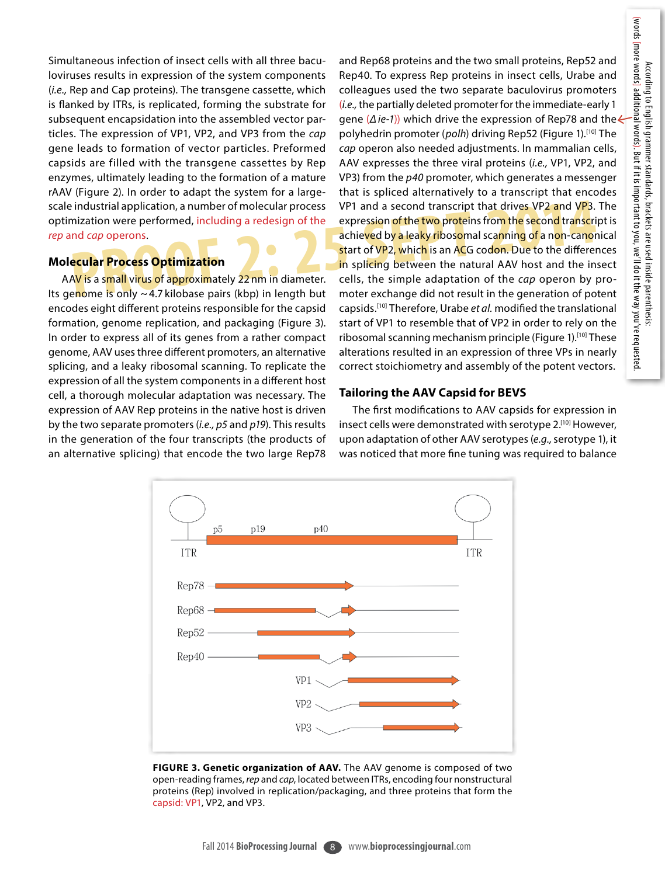Simultaneous infection of insect cells with all three baculoviruses results in expression of the system components (*i.e.,* Rep and Cap proteins). The transgene cassette, which is flanked by ITRs, is replicated, forming the substrate for subsequent encapsidation into the assembled vector particles. The expression of VP1, VP2, and VP3 from the *cap* gene leads to formation of vector particles. Preformed capsids are filled with the transgene cassettes by Rep enzymes, ultimately leading to the formation of a mature rAAV (Figure 2). In order to adapt the system for a largescale industrial application, a number of molecular process optimization were performed, including a redesign of the *rep* and *cap* operons.

#### **Molecular Process Optimization**

AAV is a small virus of approximately 22 nm in diameter. Its genome is only  $\sim$  4.7 kilobase pairs (kbp) in length but encodes eight different proteins responsible for the capsid formation, genome replication, and packaging (Figure 3). In order to express all of its genes from a rather compact genome, AAV uses three different promoters, an alternative splicing, and a leaky ribosomal scanning. To replicate the expression of all the system components in a different host cell, a thorough molecular adaptation was necessary. The expression of AAV Rep proteins in the native host is driven by the two separate promoters (*i.e., p5* and *p19*). This results in the generation of the four transcripts (the products of an alternative splicing) that encode the two large Rep78

industrial application, a number of molecular process VP1 and a second transcript that drives VP2 and VP3.<br>
inization were performed, including a redesign of the expression of the two proteins from the second transcript<br>
a and Rep68 proteins and the two small proteins, Rep52 and Rep40. To express Rep proteins in insect cells, Urabe and colleagues used the two separate baculovirus promoters (*i.e.,* the partially deleted promoter for the immediate-early 1 gene (*Δ ie-1*)) which drive the expression of Rep78 and the polyhedrin promoter (*polh*) driving Rep52 (Figure 1).<sup>[10]</sup> The *cap* operon also needed adjustments. In mammalian cells, AAV expresses the three viral proteins (*i.e.,* VP1, VP2, and VP3) from the *p40* promoter, which generates a messenger that is spliced alternatively to a transcript that encodes VP1 and a second transcript that drives VP2 and VP3. The expression of the two proteins from the second transcript is achieved by a leaky ribosomal scanning of a non-canonical start of VP2, which is an ACG codon. Due to the differences in splicing between the natural AAV host and the insect cells, the simple adaptation of the *cap* operon by promoter exchange did not result in the generation of potent capsids.[10] Therefore, Urabe *et al.* modified the translational start of VP1 to resemble that of VP2 in order to rely on the ribosomal scanning mechanism principle (Figure 1).[10] These alterations resulted in an expression of three VPs in nearly correct stoichiometry and assembly of the potent vectors.

#### **Tailoring the AAV Capsid for BEVS**

The first modifications to AAV capsids for expression in insect cells were demonstrated with serotype 2.[10] However, upon adaptation of other AAV serotypes (*e.g.,* serotype 1), it was noticed that more fine tuning was required to balance



**FIGURE 3. Genetic organization of AAV.** The AAV genome is composed of two open-reading frames, *rep* and *cap*, located between ITRs, encoding four nonstructural proteins (Rep) involved in replication/packaging, and three proteins that form the capsid: VP1, VP2, and VP3.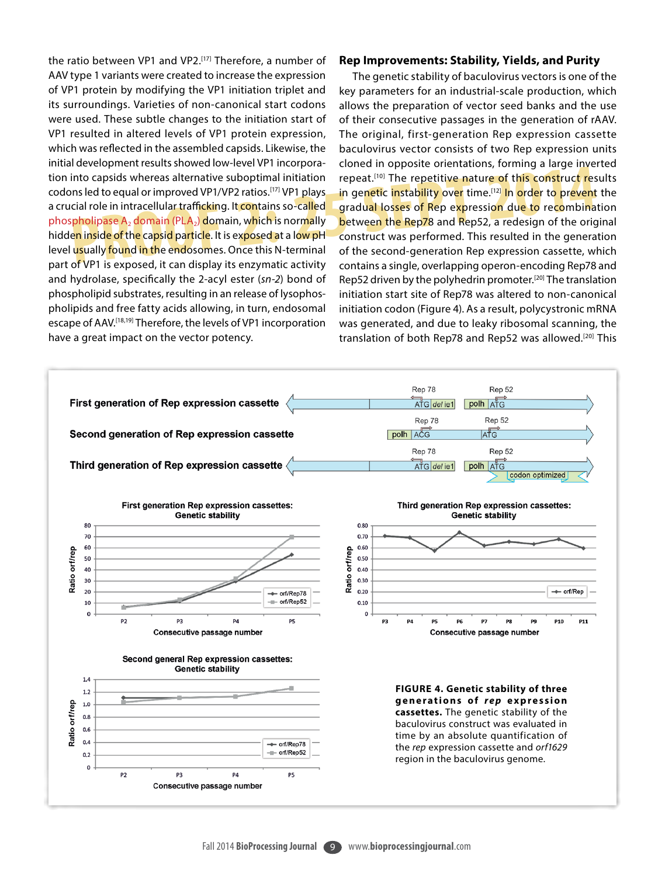the ratio between VP1 and VP2.[17] Therefore, a number of AAV type 1 variants were created to increase the expression of VP1 protein by modifying the VP1 initiation triplet and its surroundings. Varieties of non-canonical start codons were used. These subtle changes to the initiation start of VP1 resulted in altered levels of VP1 protein expression, which was reflected in the assembled capsids. Likewise, the initial development results showed low-level VP1 incorporation into capsids whereas alternative suboptimal initiation codons led to equal or improved VP1/VP2 ratios.<sup>[17]</sup> VP1 plays. a crucial role in intracellular trafficking. It contains so-called phospholipase A<sub>2</sub> domain (PLA<sub>2</sub>) domain, which is normally hidden inside of the capsid particle. It is exposed at a low pH level usually found in the endosomes. Once this N-terminal part of VP1 is exposed, it can display its enzymatic activity and hydrolase, specifically the 2-acyl ester (*sn-2*) bond of phospholipid substrates, resulting in an release of lysophospholipids and free fatty acids allowing, in turn, endosomal escape of AAV.[18,19] Therefore, the levels of VP1 incorporation have a great impact on the vector potency.

#### **Rep Improvements: Stability, Yields, and Purity**

The repetitive nature of this construct respective in the endosomes. Once this N-terminal of the second-generation pepersion can use the generation of this construct respective nature of this construct respective in the en The genetic stability of baculovirus vectors is one of the key parameters for an industrial-scale production, which allows the preparation of vector seed banks and the use of their consecutive passages in the generation of rAAV. The original, first-generation Rep expression cassette baculovirus vector consists of two Rep expression units cloned in opposite orientations, forming a large inverted repeat.<sup>[10]</sup> The repetitive nature of this construct results in genetic instability over time.<sup>[12]</sup> In order to prevent the gradual losses of Rep expression due to recombination between the Rep78 and Rep52, a redesign of the original construct was performed. This resulted in the generation of the second-generation Rep expression cassette, which contains a single, overlapping operon-encoding Rep78 and Rep52 driven by the polyhedrin promoter.<sup>[20]</sup> The translation initiation start site of Rep78 was altered to non-canonical initiation codon (Figure 4). As a result, polycystronic mRNA was generated, and due to leaky ribosomal scanning, the translation of both Rep78 and Rep52 was allowed.<sup>[20]</sup> This

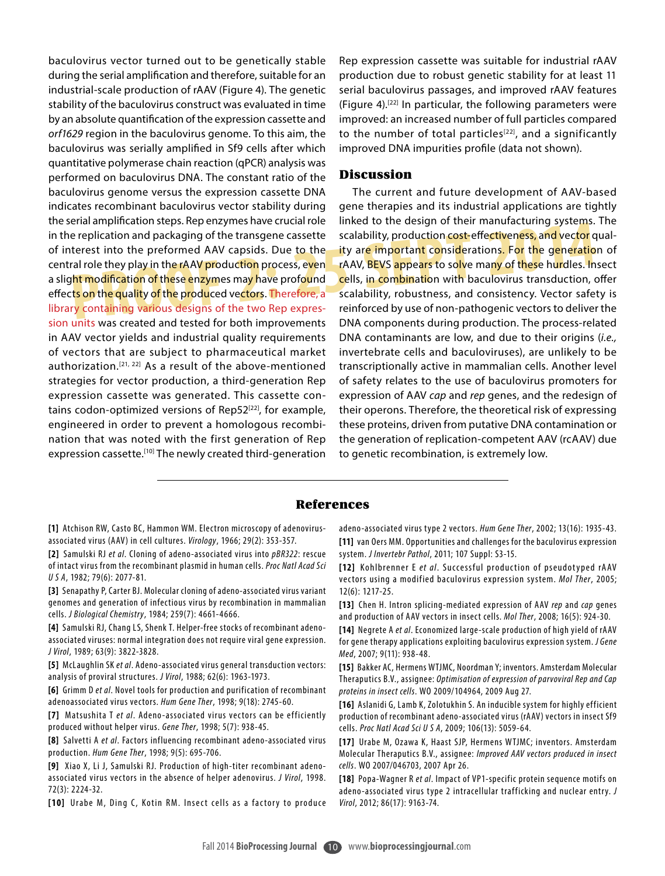baculovirus vector turned out to be genetically stable during the serial amplification and therefore, suitable for an industrial-scale production of rAAV (Figure 4). The genetic stability of the baculovirus construct was evaluated in time by an absolute quantification of the expression cassette and *orf1629* region in the baculovirus genome. To this aim, the baculovirus was serially amplified in Sf9 cells after which quantitative polymerase chain reaction (qPCR) analysis was performed on baculovirus DNA. The constant ratio of the baculovirus genome versus the expression cassette DNA indicates recombinant baculovirus vector stability during the serial amplification steps. Rep enzymes have crucial role in the replication and packaging of the transgene cassette of interest into the preformed AAV capsids. Due to the central role they play in the rAAV production process, even a slight modification of these enzymes may have profound effect<mark>s on</mark> the quality of the produced vectors. Therefore, a library containing various designs of the two Rep expression units was created and tested for both improvements in AAV vector yields and industrial quality requirements of vectors that are subject to pharmaceutical market authorization.[21, 22] As a result of the above-mentioned strategies for vector production, a third-generation Rep expression cassette was generated. This cassette contains codon-optimized versions of Rep52<sup>[22]</sup>, for example, engineered in order to prevent a homologous recombination that was noted with the first generation of Rep expression cassette.<sup>[10]</sup> The newly created third-generation

Rep expression cassette was suitable for industrial rAAV production due to robust genetic stability for at least 11 serial baculovirus passages, and improved rAAV features (Figure 4).[22] In particular, the following parameters were improved: an increased number of full particles compared to the number of total particles<sup>[22]</sup>, and a significantly improved DNA impurities profile (data not shown).

### **Discussion**

Preplication and packaging of the transgene cassette scalability, production cost-effectiveness, and vector querest into the preformed AAV capsids. Due to the **the ity are important considerations.** For the generation all The current and future development of AAV-based gene therapies and its industrial applications are tightly linked to the design of their manufacturing systems. The scalability, production cost-effectiveness, and vector quality are important considerations. For the generation of rAAV, BEVS appears to solve many of these hurdles. Insect cells, in combination with baculovirus transduction, offer scalability, robustness, and consistency. Vector safety is reinforced by use of non-pathogenic vectors to deliver the DNA components during production. The process-related DNA contaminants are low, and due to their origins (*i.e.,* invertebrate cells and baculoviruses), are unlikely to be transcriptionally active in mammalian cells. Another level of safety relates to the use of baculovirus promoters for expression of AAV *cap* and *rep* genes, and the redesign of their operons. Therefore, the theoretical risk of expressing these proteins, driven from putative DNA contamination or the generation of replication-competent AAV (rcAAV) due to genetic recombination, is extremely low.

#### References

**[1]** Atchison RW, Casto BC, Hammon WM. Electron microscopy of adenovirusassociated virus (AAV) in cell cultures. *Virology*, 1966; 29(2): 353-357.

**[2]** Samulski RJ *et al*. Cloning of adeno-associated virus into *pBR322*: rescue of intact virus from the recombinant plasmid in human cells. *Proc Natl Acad Sci U S A*, 1982; 79(6): 2077-81.

**[3]** Senapathy P, Carter BJ. Molecular cloning of adeno-associated virus variant genomes and generation of infectious virus by recombination in mammalian cells. *J Biological Chemistry*, 1984; 259(7): 4661-4666.

**[4]** Samulski RJ, Chang LS, Shenk T. Helper-free stocks of recombinant adenoassociated viruses: normal integration does not require viral gene expression. *J Virol*, 1989; 63(9): 3822-3828.

[5] McLaughlin SK *et al.* Adeno-associated virus general transduction vectors: analysis of proviral structures. *J Virol*, 1988; 62(6): 1963-1973.

**[6]** Grimm D *et al*. Novel tools for production and purification of recombinant adenoassociated virus vectors. *Hum Gene Ther*, 1998; 9(18): 2745-60.

[7] Matsushita T *et al.* Adeno-associated virus vectors can be efficiently produced without helper virus. *Gene Ther*, 1998; 5(7): 938-45.

[8] Salvetti A et al. Factors influencing recombinant adeno-associated virus production. *Hum Gene Ther*, 1998; 9(5): 695-706.

**[9]** Xiao X, Li J, Samulski RJ. Production of high-titer recombinant adenoassociated virus vectors in the absence of helper adenovirus. *J Virol*, 1998. 72(3): 2224-32.

[10] Urabe M, Ding C, Kotin RM. Insect cells as a factory to produce

adeno-associated virus type 2 vectors. *Hum Gene Ther*, 2002; 13(16): 1935-43. **[11]** van Oers MM. Opportunities and challenges for the baculovirus expression system. *J Invertebr Pathol*, 2011; 107 Suppl: S3-15.

[12] Kohlbrenner E *et al.* Successful production of pseudotyped rAAV vectors using a modified baculovirus expression system. *Mol Ther*, 2005; 12(6): 1217-25.

**[13]** Chen H. Intron splicing-mediated expression of AAV *rep* and *cap* genes and production of AAV vectors in insect cells. *Mol Ther*, 2008; 16(5): 924-30.

**[14]** Negrete A *et al*. Economized large-scale produc tion of high yield of rAAV for gene therapy applications exploiting baculovirus expression system. *J Gene Med*, 2007; 9(11): 938-48.

**[15]** Bakker AC, Hermens WTJMC, Noordman Y; inventors. Amsterdam Molecular Theraputics B.V., assignee: *Optimisation of expression of parvoviral Rep and Cap proteins in insect cells*. WO 2009/104964, 2009 Aug 27.

[16] Aslanidi G, Lamb K, Zolotukhin S. An inducible system for highly efficient production of recombinant adeno-associated virus (rAAV) vectors in insect Sf9 cells. *Proc Natl Acad Sci U S A*, 2009; 106(13): 5059-64.

**[17]** Urabe M, Ozawa K, Haast SJP, Hermens W TJMC; inventors. Amsterdam Molecular Theraputics B.V., assignee: *Improved AAV vectors produced in insect cells*. WO 2007/046703, 2007 Apr 26.

[18] Popa-Wagner R et al. Impact of VP1-specific protein sequence motifs on adeno-associated virus type 2 intracellular trafficking and nuclear entry. *J Virol*, 2012; 86(17): 9163-74.